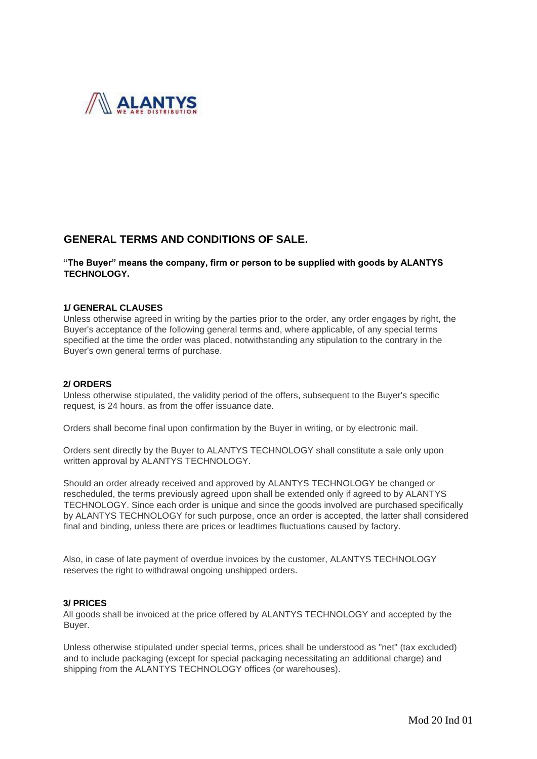

# **GENERAL TERMS AND CONDITIONS OF SALE.**

# **"The Buyer" means the company, firm or person to be supplied with goods by ALANTYS TECHNOLOGY.**

#### **1/ GENERAL CLAUSES**

Unless otherwise agreed in writing by the parties prior to the order, any order engages by right, the Buyer's acceptance of the following general terms and, where applicable, of any special terms specified at the time the order was placed, notwithstanding any stipulation to the contrary in the Buyer's own general terms of purchase.

#### **2/ ORDERS**

Unless otherwise stipulated, the validity period of the offers, subsequent to the Buyer's specific request, is 24 hours, as from the offer issuance date.

Orders shall become final upon confirmation by the Buyer in writing, or by electronic mail.

Orders sent directly by the Buyer to ALANTYS TECHNOLOGY shall constitute a sale only upon written approval by ALANTYS TECHNOLOGY.

Should an order already received and approved by ALANTYS TECHNOLOGY be changed or rescheduled, the terms previously agreed upon shall be extended only if agreed to by ALANTYS TECHNOLOGY. Since each order is unique and since the goods involved are purchased specifically by ALANTYS TECHNOLOGY for such purpose, once an order is accepted, the latter shall considered final and binding, unless there are prices or leadtimes fluctuations caused by factory.

Also, in case of late payment of overdue invoices by the customer, ALANTYS TECHNOLOGY reserves the right to withdrawal ongoing unshipped orders.

#### **3/ PRICES**

All goods shall be invoiced at the price offered by ALANTYS TECHNOLOGY and accepted by the Buyer.

Unless otherwise stipulated under special terms, prices shall be understood as "net" (tax excluded) and to include packaging (except for special packaging necessitating an additional charge) and shipping from the ALANTYS TECHNOLOGY offices (or warehouses).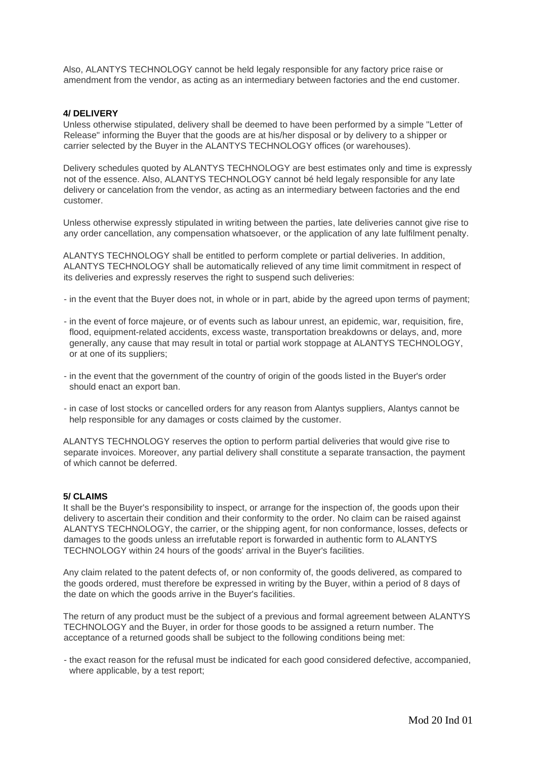Also, ALANTYS TECHNOLOGY cannot be held legaly responsible for any factory price raise or amendment from the vendor, as acting as an intermediary between factories and the end customer.

## **4/ DELIVERY**

Unless otherwise stipulated, delivery shall be deemed to have been performed by a simple "Letter of Release" informing the Buyer that the goods are at his/her disposal or by delivery to a shipper or carrier selected by the Buyer in the ALANTYS TECHNOLOGY offices (or warehouses).

Delivery schedules quoted by ALANTYS TECHNOLOGY are best estimates only and time is expressly not of the essence. Also, ALANTYS TECHNOLOGY cannot bé held legaly responsible for any late delivery or cancelation from the vendor, as acting as an intermediary between factories and the end customer.

Unless otherwise expressly stipulated in writing between the parties, late deliveries cannot give rise to any order cancellation, any compensation whatsoever, or the application of any late fulfilment penalty.

ALANTYS TECHNOLOGY shall be entitled to perform complete or partial deliveries. In addition, ALANTYS TECHNOLOGY shall be automatically relieved of any time limit commitment in respect of its deliveries and expressly reserves the right to suspend such deliveries:

- in the event that the Buyer does not, in whole or in part, abide by the agreed upon terms of payment;
- in the event of force majeure, or of events such as labour unrest, an epidemic, war, requisition, fire, flood, equipment-related accidents, excess waste, transportation breakdowns or delays, and, more generally, any cause that may result in total or partial work stoppage at ALANTYS TECHNOLOGY, or at one of its suppliers;
- in the event that the government of the country of origin of the goods listed in the Buyer's order should enact an export ban.
- in case of lost stocks or cancelled orders for any reason from Alantys suppliers, Alantys cannot be help responsible for any damages or costs claimed by the customer.

ALANTYS TECHNOLOGY reserves the option to perform partial deliveries that would give rise to separate invoices. Moreover, any partial delivery shall constitute a separate transaction, the payment of which cannot be deferred.

#### **5/ CLAIMS**

It shall be the Buyer's responsibility to inspect, or arrange for the inspection of, the goods upon their delivery to ascertain their condition and their conformity to the order. No claim can be raised against ALANTYS TECHNOLOGY, the carrier, or the shipping agent, for non conformance, losses, defects or damages to the goods unless an irrefutable report is forwarded in authentic form to ALANTYS TECHNOLOGY within 24 hours of the goods' arrival in the Buyer's facilities.

Any claim related to the patent defects of, or non conformity of, the goods delivered, as compared to the goods ordered, must therefore be expressed in writing by the Buyer, within a period of 8 days of the date on which the goods arrive in the Buyer's facilities.

The return of any product must be the subject of a previous and formal agreement between ALANTYS TECHNOLOGY and the Buyer, in order for those goods to be assigned a return number. The acceptance of a returned goods shall be subject to the following conditions being met:

- the exact reason for the refusal must be indicated for each good considered defective, accompanied, where applicable, by a test report;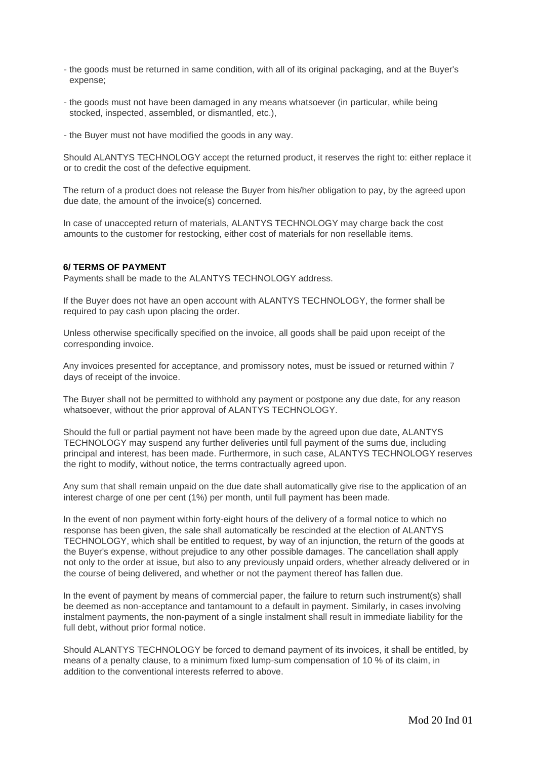- the goods must be returned in same condition, with all of its original packaging, and at the Buyer's expense;
- the goods must not have been damaged in any means whatsoever (in particular, while being stocked, inspected, assembled, or dismantled, etc.),
- the Buyer must not have modified the goods in any way.

Should ALANTYS TECHNOLOGY accept the returned product, it reserves the right to: either replace it or to credit the cost of the defective equipment.

The return of a product does not release the Buyer from his/her obligation to pay, by the agreed upon due date, the amount of the invoice(s) concerned.

In case of unaccepted return of materials, ALANTYS TECHNOLOGY may charge back the cost amounts to the customer for restocking, either cost of materials for non resellable items.

## **6/ TERMS OF PAYMENT**

Payments shall be made to the ALANTYS TECHNOLOGY address.

If the Buyer does not have an open account with ALANTYS TECHNOLOGY, the former shall be required to pay cash upon placing the order.

Unless otherwise specifically specified on the invoice, all goods shall be paid upon receipt of the corresponding invoice.

Any invoices presented for acceptance, and promissory notes, must be issued or returned within 7 days of receipt of the invoice.

The Buyer shall not be permitted to withhold any payment or postpone any due date, for any reason whatsoever, without the prior approval of ALANTYS TECHNOLOGY.

Should the full or partial payment not have been made by the agreed upon due date, ALANTYS TECHNOLOGY may suspend any further deliveries until full payment of the sums due, including principal and interest, has been made. Furthermore, in such case, ALANTYS TECHNOLOGY reserves the right to modify, without notice, the terms contractually agreed upon.

Any sum that shall remain unpaid on the due date shall automatically give rise to the application of an interest charge of one per cent (1%) per month, until full payment has been made.

In the event of non payment within forty-eight hours of the delivery of a formal notice to which no response has been given, the sale shall automatically be rescinded at the election of ALANTYS TECHNOLOGY, which shall be entitled to request, by way of an injunction, the return of the goods at the Buyer's expense, without prejudice to any other possible damages. The cancellation shall apply not only to the order at issue, but also to any previously unpaid orders, whether already delivered or in the course of being delivered, and whether or not the payment thereof has fallen due.

In the event of payment by means of commercial paper, the failure to return such instrument(s) shall be deemed as non-acceptance and tantamount to a default in payment. Similarly, in cases involving instalment payments, the non-payment of a single instalment shall result in immediate liability for the full debt, without prior formal notice.

Should ALANTYS TECHNOLOGY be forced to demand payment of its invoices, it shall be entitled, by means of a penalty clause, to a minimum fixed lump-sum compensation of 10 % of its claim, in addition to the conventional interests referred to above.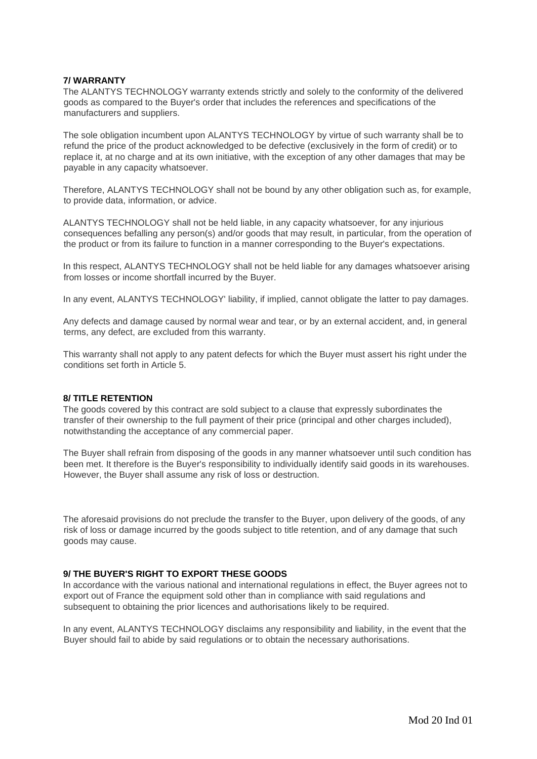# **7/ WARRANTY**

The ALANTYS TECHNOLOGY warranty extends strictly and solely to the conformity of the delivered goods as compared to the Buyer's order that includes the references and specifications of the manufacturers and suppliers.

The sole obligation incumbent upon ALANTYS TECHNOLOGY by virtue of such warranty shall be to refund the price of the product acknowledged to be defective (exclusively in the form of credit) or to replace it, at no charge and at its own initiative, with the exception of any other damages that may be payable in any capacity whatsoever.

Therefore, ALANTYS TECHNOLOGY shall not be bound by any other obligation such as, for example, to provide data, information, or advice.

ALANTYS TECHNOLOGY shall not be held liable, in any capacity whatsoever, for any injurious consequences befalling any person(s) and/or goods that may result, in particular, from the operation of the product or from its failure to function in a manner corresponding to the Buyer's expectations.

In this respect, ALANTYS TECHNOLOGY shall not be held liable for any damages whatsoever arising from losses or income shortfall incurred by the Buyer.

In any event, ALANTYS TECHNOLOGY' liability, if implied, cannot obligate the latter to pay damages.

Any defects and damage caused by normal wear and tear, or by an external accident, and, in general terms, any defect, are excluded from this warranty.

This warranty shall not apply to any patent defects for which the Buyer must assert his right under the conditions set forth in Article 5.

#### **8/ TITLE RETENTION**

The goods covered by this contract are sold subject to a clause that expressly subordinates the transfer of their ownership to the full payment of their price (principal and other charges included), notwithstanding the acceptance of any commercial paper.

The Buyer shall refrain from disposing of the goods in any manner whatsoever until such condition has been met. It therefore is the Buyer's responsibility to individually identify said goods in its warehouses. However, the Buyer shall assume any risk of loss or destruction.

The aforesaid provisions do not preclude the transfer to the Buyer, upon delivery of the goods, of any risk of loss or damage incurred by the goods subject to title retention, and of any damage that such goods may cause.

#### **9/ THE BUYER'S RIGHT TO EXPORT THESE GOODS**

In accordance with the various national and international regulations in effect, the Buyer agrees not to export out of France the equipment sold other than in compliance with said regulations and subsequent to obtaining the prior licences and authorisations likely to be required.

In any event, ALANTYS TECHNOLOGY disclaims any responsibility and liability, in the event that the Buyer should fail to abide by said regulations or to obtain the necessary authorisations.